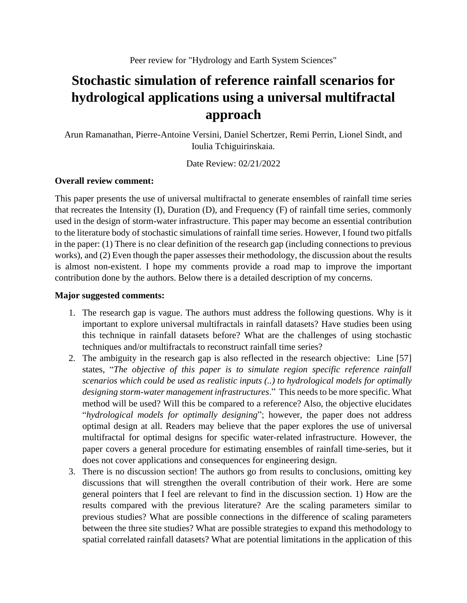## **Stochastic simulation of reference rainfall scenarios for hydrological applications using a universal multifractal approach**

Arun Ramanathan, Pierre-Antoine Versini, Daniel Schertzer, Remi Perrin, Lionel Sindt, and Ioulia Tchiguirinskaia.

Date Review: 02/21/2022

## **Overall review comment:**

This paper presents the use of universal multifractal to generate ensembles of rainfall time series that recreates the Intensity (I), Duration (D), and Frequency (F) of rainfall time series, commonly used in the design of storm-water infrastructure. This paper may become an essential contribution to the literature body of stochastic simulations of rainfall time series. However, I found two pitfalls in the paper: (1) There is no clear definition of the research gap (including connections to previous works), and (2) Even though the paper assesses their methodology, the discussion about the results is almost non-existent. I hope my comments provide a road map to improve the important contribution done by the authors. Below there is a detailed description of my concerns.

## **Major suggested comments:**

- 1. The research gap is vague. The authors must address the following questions. Why is it important to explore universal multifractals in rainfall datasets? Have studies been using this technique in rainfall datasets before? What are the challenges of using stochastic techniques and/or multifractals to reconstruct rainfall time series?
- 2. The ambiguity in the research gap is also reflected in the research objective: Line [57] states, "*The objective of this paper is to simulate region specific reference rainfall scenarios which could be used as realistic inputs (..) to hydrological models for optimally designing storm-water management infrastructures*." This needs to be more specific. What method will be used? Will this be compared to a reference? Also, the objective elucidates "*hydrological models for optimally designing*"; however, the paper does not address optimal design at all. Readers may believe that the paper explores the use of universal multifractal for optimal designs for specific water-related infrastructure. However, the paper covers a general procedure for estimating ensembles of rainfall time-series, but it does not cover applications and consequences for engineering design.
- 3. There is no discussion section! The authors go from results to conclusions, omitting key discussions that will strengthen the overall contribution of their work. Here are some general pointers that I feel are relevant to find in the discussion section. 1) How are the results compared with the previous literature? Are the scaling parameters similar to previous studies? What are possible connections in the difference of scaling parameters between the three site studies? What are possible strategies to expand this methodology to spatial correlated rainfall datasets? What are potential limitations in the application of this